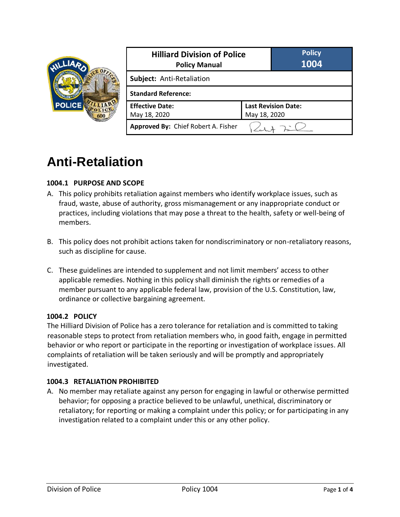

| <b>Hilliard Division of Police</b><br><b>Policy Manual</b> |                            | <b>Policy</b><br>1004 |
|------------------------------------------------------------|----------------------------|-----------------------|
| Subject: Anti-Retaliation                                  |                            |                       |
| <b>Standard Reference:</b>                                 |                            |                       |
| <b>Effective Date:</b>                                     | <b>Last Revision Date:</b> |                       |
| May 18, 2020                                               | May 18, 2020               |                       |
| Approved By: Chief Robert A. Fisher                        |                            |                       |

# **Anti-Retaliation**

# **1004.1 PURPOSE AND SCOPE**

- A. This policy prohibits retaliation against members who identify workplace issues, such as fraud, waste, abuse of authority, gross mismanagement or any inappropriate conduct or practices, including violations that may pose a threat to the health, safety or well-being of members.
- B. This policy does not prohibit actions taken for nondiscriminatory or non-retaliatory reasons, such as discipline for cause.
- C. These guidelines are intended to supplement and not limit members' access to other applicable remedies. Nothing in this policy shall diminish the rights or remedies of a member pursuant to any applicable federal law, provision of the U.S. Constitution, law, ordinance or collective bargaining agreement.

## **1004.2 POLICY**

The Hilliard Division of Police has a zero tolerance for retaliation and is committed to taking reasonable steps to protect from retaliation members who, in good faith, engage in permitted behavior or who report or participate in the reporting or investigation of workplace issues. All complaints of retaliation will be taken seriously and will be promptly and appropriately investigated.

## **1004.3 RETALIATION PROHIBITED**

A. No member may retaliate against any person for engaging in lawful or otherwise permitted behavior; for opposing a practice believed to be unlawful, unethical, discriminatory or retaliatory; for reporting or making a complaint under this policy; or for participating in any investigation related to a complaint under this or any other policy.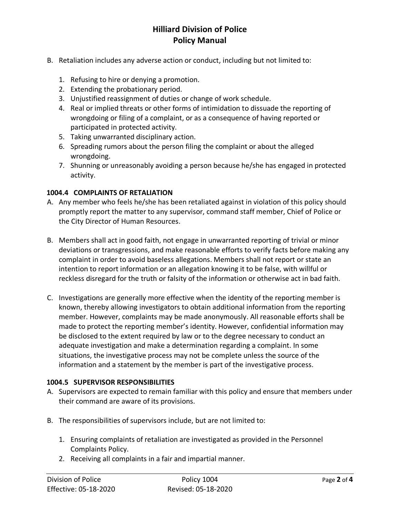# **Hilliard Division of Police Policy Manual**

- B. Retaliation includes any adverse action or conduct, including but not limited to:
	- 1. Refusing to hire or denying a promotion.
	- 2. Extending the probationary period.
	- 3. Unjustified reassignment of duties or change of work schedule.
	- 4. Real or implied threats or other forms of intimidation to dissuade the reporting of wrongdoing or filing of a complaint, or as a consequence of having reported or participated in protected activity.
	- 5. Taking unwarranted disciplinary action.
	- 6. Spreading rumors about the person filing the complaint or about the alleged wrongdoing.
	- 7. Shunning or unreasonably avoiding a person because he/she has engaged in protected activity.

#### **1004.4 COMPLAINTS OF RETALIATION**

- A. Any member who feels he/she has been retaliated against in violation of this policy should promptly report the matter to any supervisor, command staff member, Chief of Police or the City Director of Human Resources.
- B. Members shall act in good faith, not engage in unwarranted reporting of trivial or minor deviations or transgressions, and make reasonable efforts to verify facts before making any complaint in order to avoid baseless allegations. Members shall not report or state an intention to report information or an allegation knowing it to be false, with willful or reckless disregard for the truth or falsity of the information or otherwise act in bad faith.
- C. Investigations are generally more effective when the identity of the reporting member is known, thereby allowing investigators to obtain additional information from the reporting member. However, complaints may be made anonymously. All reasonable efforts shall be made to protect the reporting member's identity. However, confidential information may be disclosed to the extent required by law or to the degree necessary to conduct an adequate investigation and make a determination regarding a complaint. In some situations, the investigative process may not be complete unless the source of the information and a statement by the member is part of the investigative process.

#### **1004.5 SUPERVISOR RESPONSIBILITIES**

- A. Supervisors are expected to remain familiar with this policy and ensure that members under their command are aware of its provisions.
- B. The responsibilities of supervisors include, but are not limited to:
	- 1. Ensuring complaints of retaliation are investigated as provided in the Personnel Complaints Policy.
	- 2. Receiving all complaints in a fair and impartial manner.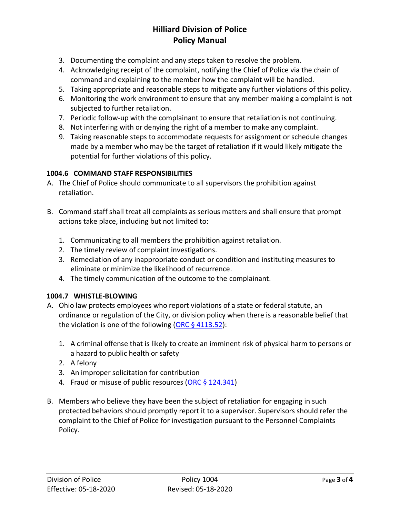# **Hilliard Division of Police Policy Manual**

- 3. Documenting the complaint and any steps taken to resolve the problem.
- 4. Acknowledging receipt of the complaint, notifying the Chief of Police via the chain of command and explaining to the member how the complaint will be handled.
- 5. Taking appropriate and reasonable steps to mitigate any further violations of this policy.
- 6. Monitoring the work environment to ensure that any member making a complaint is not subjected to further retaliation.
- 7. Periodic follow-up with the complainant to ensure that retaliation is not continuing.
- 8. Not interfering with or denying the right of a member to make any complaint.
- 9. Taking reasonable steps to accommodate requests for assignment or schedule changes made by a member who may be the target of retaliation if it would likely mitigate the potential for further violations of this policy.

# **1004.6 COMMAND STAFF RESPONSIBILITIES**

- A. The Chief of Police should communicate to all supervisors the prohibition against retaliation.
- B. Command staff shall treat all complaints as serious matters and shall ensure that prompt actions take place, including but not limited to:
	- 1. Communicating to all members the prohibition against retaliation.
	- 2. The timely review of complaint investigations.
	- 3. Remediation of any inappropriate conduct or condition and instituting measures to eliminate or minimize the likelihood of recurrence.
	- 4. The timely communication of the outcome to the complainant.

## **1004.7 WHISTLE-BLOWING**

- A. Ohio law protects employees who report violations of a state or federal statute, an ordinance or regulation of the City, or division policy when there is a reasonable belief that the violation is one of the following (ORC  $\S$  4113.52):
	- 1. A criminal offense that is likely to create an imminent risk of physical harm to persons or a hazard to public health or safety
	- 2. A felony
	- 3. An improper solicitation for contribution
	- 4. Fraud or misuse of public resources (ORC  $\S$  124.341)
- B. Members who believe they have been the subject of retaliation for engaging in such protected behaviors should promptly report it to a supervisor. Supervisors should refer the complaint to the Chief of Police for investigation pursuant to the Personnel Complaints Policy.